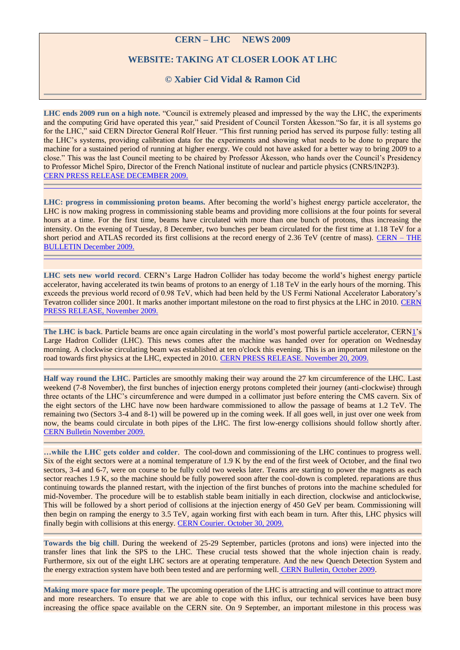## **CERN – LHC NEWS 2009**

## **WEBSITE: TAKING AT CLOSER LOOK AT LHC**

## **© Xabier Cid Vidal & Ramon Cid**

**LHC ends 2009 run on a high note.** "Council is extremely pleased and impressed by the way the LHC, the experiments and the computing Grid have operated this year," said President of Council Torsten Åkesson."So far, it is all systems go for the LHC," said CERN Director General Rolf Heuer. "This first running period has served its purpose fully: testing all the LHC"s systems, providing calibration data for the experiments and showing what needs to be done to prepare the machine for a sustained period of running at higher energy. We could not have asked for a better way to bring 2009 to a close." This was the last Council meeting to be chaired by Professor Åkesson, who hands over the Council"s Presidency to Professor Michel Spiro, Director of the French National institute of nuclear and particle physics (CNRS/IN2P3). [CERN PRESS RELEASE DECEMBER 2009.](http://press.web.cern.ch/press/PressReleases/Releases2009/PR20.09E.html) 

**LHC: progress in commissioning proton beams.** After becoming the world"s highest energy particle accelerator, the LHC is now making progress in commissioning stable beams and providing more collisions at the four points for several hours at a time. For the first time, beams have circulated with more than one bunch of protons, thus increasing the intensity. On the evening of Tuesday, 8 December, two bunches per beam circulated for the first time at 1.18 TeV for a short period and ATLAS recorded its first collisions at the record energy of 2.36 TeV (centre of mass). [CERN –](http://cdsweb.cern.ch/journal/CERNBulletin/2009/51/News%20Articles/1227580?ln=en) THE [BULLETIN December 2009.](http://cdsweb.cern.ch/journal/CERNBulletin/2009/51/News%20Articles/1227580?ln=en) 

**LHC sets new world record**. CERN"s Large Hadron Collider has today become the world"s highest energy particle accelerator, having accelerated its twin beams of protons to an energy of 1.18 TeV in the early hours of the morning. This exceeds the previous world record of 0.98 TeV, which had been held by the US Fermi National Accelerator Laboratory"s Tevatron collider since 2001. It marks another important milestone on the road to first physics at the LHC in 2010. [CERN](http://press.web.cern.ch/press/PressReleases/Releases2009/PR18.09E.html)  [PRESS RELEASE, November 2009.](http://press.web.cern.ch/press/PressReleases/Releases2009/PR18.09E.html)

**The LHC is back**. Particle beams are once again circulating in the world"s most powerful particle accelerator, CER[N1"](http://press.web.cern.ch/press/PressReleases/Releases2009/PR16.09E.html#footnote1)s Large Hadron Collider (LHC). This news comes after the machine was handed over for operation on Wednesday morning. A clockwise circulating beam was established at ten o'clock this evening. This is an important milestone on the road towards first physics at the LHC, expected in 2010. [CERN PRESS RELEASE. November 20, 2009.](http://press.web.cern.ch/press/PressReleases/Releases2009/PR16.09E.html)

**Half way round the LHC.** Particles are smoothly making their way around the 27 km circumference of the LHC. Last weekend (7-8 November), the first bunches of injection energy protons completed their journey (anti-clockwise) through three octants of the LHC"s circumference and were dumped in a collimator just before entering the CMS cavern. Six of the eight sectors of the LHC have now been hardware commissioned to allow the passage of beams at 1.2 TeV. The remaining two (Sectors 3-4 and 8-1) will be powered up in the coming week. If all goes well, in just over one week from now, the beams could circulate in both pipes of the LHC. The first low-energy collisions should follow shortly after. [CERN Bulletin November 2009.](http://cdsweb.cern.ch/journal/CERNBulletin/2009/47/News%20Articles/1221074?ln=en)

**…while the LHC gets colder and colder**. The cool-down and commissioning of the LHC continues to progress well. Six of the eight sectors were at a nominal temperature of 1.9 K by the end of the first week of October, and the final two sectors, 3-4 and 6-7, were on course to be fully cold two weeks later. Teams are starting to power the magnets as each sector reaches 1.9 K, so the machine should be fully powered soon after the cool-down is completed. reparations are thus continuing towards the planned restart, with the injection of the first bunches of protons into the machine scheduled for mid-November. The procedure will be to establish stable beam initially in each direction, clockwise and anticlockwise, This will be followed by a short period of collisions at the injection energy of 450 GeV per beam. Commissioning will then begin on ramping the energy to 3.5 TeV, again working first with each beam in turn. After this, LHC physics will finally begin with collisions at this energy. [CERN Courier. October 30, 2009.](http://cerncourier.com/cws/article/cern/40728)

**Towards the big chill**. During the weekend of 25-29 September, particles (protons and ions) were injected into the transfer lines that link the SPS to the LHC. These crucial tests showed that the whole injection chain is ready. Furthermore, six out of the eight LHC sectors are at operating temperature. And the new Quench Detection System and the energy extraction system have both been tested and are performing well. [CERN Bulletin, October 2009.](http://cdsweb.cern.ch/journal/article?issue=41/2009&name=CERNBulletin&category=News%20Articles&number=5&ln=en)

**Making more space for more people**. The upcoming operation of the LHC is attracting and will continue to attract more and more researchers. To ensure that we are able to cope with this influx, our technical services have been busy increasing the office space available on the CERN site. On 9 September, an important milestone in this process was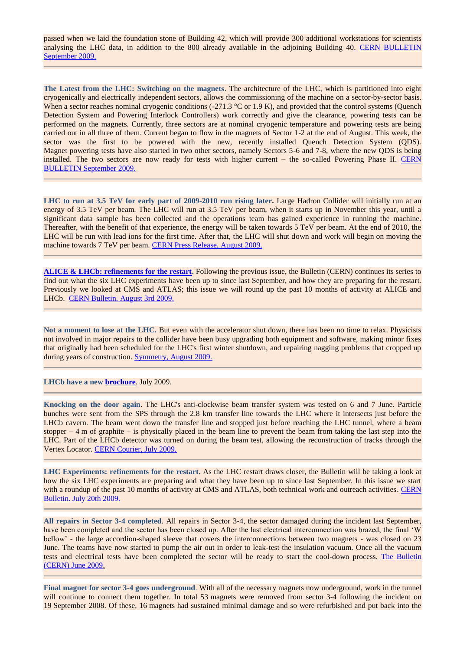passed when we laid the foundation stone of Building 42, which will provide 300 additional workstations for scientists analysing the LHC data, in addition to the 800 already available in the adjoining Building 40. [CERN BULLETIN](http://cdsweb.cern.ch/journal/article?issue=39/2009&name=CERNBulletin&category=News%20Articles&number=2&ln=es)  [September 2009.](http://cdsweb.cern.ch/journal/article?issue=39/2009&name=CERNBulletin&category=News%20Articles&number=2&ln=es)

**The Latest from the LHC: Switching on the magnets**. The architecture of the LHC, which is partitioned into eight cryogenically and electrically independent sectors, allows the commissioning of the machine on a sector-by-sector basis. When a sector reaches nominal cryogenic conditions (-271.3  $\degree$ C or 1.9 K), and provided that the control systems (Quench Detection System and Powering Interlock Controllers) work correctly and give the clearance, powering tests can be performed on the magnets. Currently, three sectors are at nominal cryogenic temperature and powering tests are being carried out in all three of them. Current began to flow in the magnets of Sector 1-2 at the end of August. This week, the sector was the first to be powered with the new, recently installed Quench Detection System (QDS). Magnet powering tests have also started in two other sectors, namely Sectors 5-6 and 7-8, where the new QDS is being installed. The two sectors are now ready for tests with higher current – the so-called Powering Phase II. [CERN](http://cdsweb.cern.ch/journal/article?issue=39/2009&name=CERNBulletin&category=News%20Articles&number=3&ln=es)  [BULLETIN September 2009.](http://cdsweb.cern.ch/journal/article?issue=39/2009&name=CERNBulletin&category=News%20Articles&number=3&ln=es)

**LHC to run at 3.5 TeV for early part of 2009-2010 run rising later.** Large Hadron Collider will initially run at an energy of 3.5 TeV per beam. The LHC will run at 3.5 TeV per beam, when it starts up in November this year, until a significant data sample has been collected and the operations team has gained experience in running the machine. Thereafter, with the benefit of that experience, the energy will be taken towards 5 TeV per beam. At the end of 2010, the LHC will be run with lead ions for the first time. After that, the LHC will shut down and work will begin on moving the machine towards 7 TeV per beam. [CERN Press Release, August 2009.](http://press.web.cern.ch/press/PressReleases/Releases2009/PR13.09E.html)

**[ALICE & LHCb: refinements for the restart.](http://cdsweb.cern.ch/journal/article?issue=34/2009&name=CERNBulletin&category=News%20Articles&number=1&ln=en)** Following the previous issue, the Bulletin (CERN) continues its series to find out what the six LHC experiments have been up to since last September, and how they are preparing for the restart. Previously we looked at CMS and ATLAS; this issue we will round up the past 10 months of activity at ALICE and LHCb. [CERN Bulletin. August 3rd 2009.](http://cdsweb.cern.ch/journal/article?issue=34/2009&name=CERNBulletin&category=News%20Articles&number=1&ln=en)

**Not a moment to lose at the LHC.** But even with the accelerator shut down, there has been no time to relax. Physicists not involved in major repairs to the collider have been busy upgrading both equipment and software, making minor fixes that originally had been scheduled for the LHC's first winter shutdown, and repairing nagging problems that cropped up during years of construction. [Symmetry, August 2009.](http://www.symmetrymagazine.org/cms/?pid=1000736)

**LHCb have a new [brochure](http://cdsweb.cern.ch/record/1194057/files/CERN-Brochure-2009-007-Eng.pdf)**. July 2009.

**Knocking on the door again**. The LHC's anti-clockwise beam transfer system was tested on 6 and 7 June. Particle bunches were sent from the SPS through the 2.8 km transfer line towards the LHC where it intersects just before the LHCb cavern. The beam went down the transfer line and stopped just before reaching the LHC tunnel, where a beam stopper – 4 m of graphite – is physically placed in the beam line to prevent the beam from taking the last step into the LHC. Part of the LHCb detector was turned on during the beam test, allowing the reconstruction of tracks through the Vertex Locator. [CERN Courier, July 2009.](http://cerncourier.com/cws/article/cern/39736)

**LHC Experiments: refinements for the restart**. As the LHC restart draws closer, the Bulletin will be taking a look at how the six LHC experiments are preparing and what they have been up to since last September. In this issue we start with a roundup of the past 10 months of activity at CMS and ATLAS, both technical work and outreach activities. CERN [Bulletin. July 20th 2009.](http://cdsweb.cern.ch/journal/article?issue=31/2009&name=CERNBulletin&category=News%20Articles&number=1&ln=en) 

**All repairs in Sector 3-4 completed**. All repairs in Sector 3-4, the sector damaged during the incident last September, have been completed and the sector has been closed up. After the last electrical interconnection was brazed, the final "W bellow" - the large accordion-shaped sleeve that covers the interconnections between two magnets - was closed on 23 June. The teams have now started to pump the air out in order to leak-test the insulation vacuum. Once all the vacuum tests and electrical tests have been completed the sector will be ready to start the cool-down process. [The Bulletin](http://cdsweb.cern.ch/journal/article?issue=29/2009&name=CERNBulletin&category=News%20Articles&number=4&ln=es)  [\(CERN\) June 2009.](http://cdsweb.cern.ch/journal/article?issue=29/2009&name=CERNBulletin&category=News%20Articles&number=4&ln=es)

**Final magnet for sector 3-4 goes underground**. With all of the necessary magnets now underground, work in the tunnel will continue to connect them together. In total 53 magnets were removed from sector 3-4 following the incident on 19 September 2008. Of these, 16 magnets had sustained minimal damage and so were refurbished and put back into the